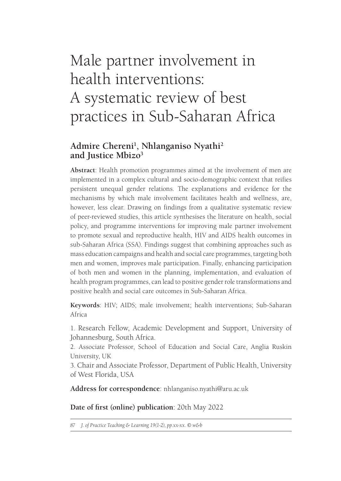# Male partner involvement in health interventions: A systematic review of best practices in Sub-Saharan Africa

## **Admire Chereni1 , Nhlanganiso Nyathi2 and Justice Mbizo3**

**Abstract**: Health promotion programmes aimed at the involvement of men are implemented in a complex cultural and socio-demographic context that reifies persistent unequal gender relations. The explanations and evidence for the mechanisms by which male involvement facilitates health and wellness, are, however, less clear. Drawing on findings from a qualitative systematic review of peer-reviewed studies, this article synthesises the literature on health, social policy, and programme interventions for improving male partner involvement to promote sexual and reproductive health, HIV and AIDS health outcomes in sub-Saharan Africa (SSA). Findings suggest that combining approaches such as mass education campaigns and health and social care programmes, targeting both men and women, improves male participation. Finally, enhancing participation of both men and women in the planning, implementation, and evaluation of health program programmes, can lead to positive gender role transformations and positive health and social care outcomes in Sub-Saharan Africa.

**Keywords**: HIV; AIDS; male involvement; health interventions; Sub-Saharan Africa

1. Research Fellow, Academic Development and Support, University of Johannesburg, South Africa.

2. Associate Professor, School of Education and Social Care, Anglia Ruskin University, UK

3. Chair and Associate Professor, Department of Public Health, University of West Florida, USA

**Address for correspondence**: nhlanganiso.nyathi@aru.ac.uk

**Date of first (online) publication**: 20th May 2022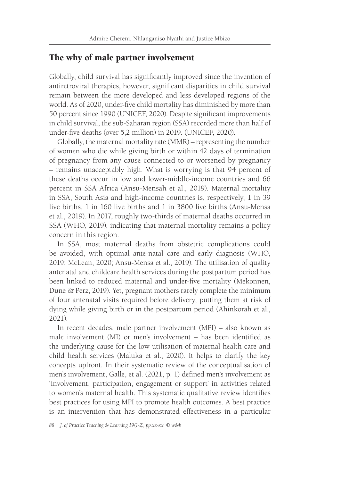## The why of male partner involvement

Globally, child survival has significantly improved since the invention of antiretroviral therapies, however, significant disparities in child survival remain between the more developed and less developed regions of the world. As of 2020, under-five child mortality has diminished by more than 50 percent since 1990 (UNICEF, 2020). Despite significant improvements in child survival, the sub-Saharan region (SSA) recorded more than half of under-five deaths (over 5,2 million) in 2019. (UNICEF, 2020).

Globally, the maternal mortality rate (MMR) – representing the number of women who die while giving birth or within 42 days of termination of pregnancy from any cause connected to or worsened by pregnancy – remains unacceptably high. What is worrying is that 94 percent of these deaths occur in low and lower-middle-income countries and 66 percent in SSA Africa (Ansu-Mensah et al., 2019). Maternal mortality in SSA, South Asia and high-income countries is, respectively, 1 in 39 live births, 1 in 160 live births and 1 in 3800 live births (Ansu-Mensa et al., 2019). In 2017, roughly two-thirds of maternal deaths occurred in SSA (WHO, 2019), indicating that maternal mortality remains a policy concern in this region.

In SSA, most maternal deaths from obstetric complications could be avoided, with optimal ante-natal care and early diagnosis (WHO, 2019; McLean, 2020; Ansu-Mensa et al., 2019). The utilisation of quality antenatal and childcare health services during the postpartum period has been linked to reduced maternal and under-five mortality (Mekonnen, Dune & Perz, 2019). Yet, pregnant mothers rarely complete the minimum of four antenatal visits required before delivery, putting them at risk of dying while giving birth or in the postpartum period (Ahinkorah et al., 2021).

In recent decades, male partner involvement (MPI) – also known as male involvement (MI) or men's involvement – has been identified as the underlying cause for the low utilisation of maternal health care and child health services (Maluka et al., 2020). It helps to clarify the key concepts upfront. In their systematic review of the conceptualisation of men's involvement, Galle, et al. (2021, p. 1) defined men's involvement as 'involvement, participation, engagement or support' in activities related to women's maternal health. This systematic qualitative review identifies best practices for using MPI to promote health outcomes. A best practice is an intervention that has demonstrated effectiveness in a particular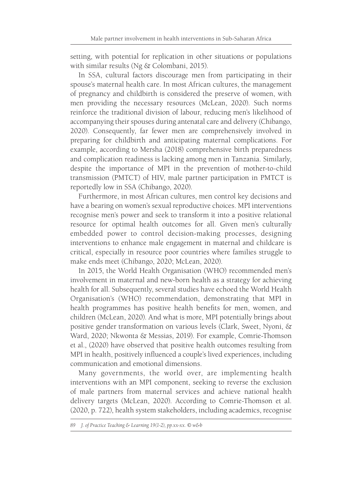setting, with potential for replication in other situations or populations with similar results (Ng & Colombani, 2015).

In SSA, cultural factors discourage men from participating in their spouse's maternal health care. In most African cultures, the management of pregnancy and childbirth is considered the preserve of women, with men providing the necessary resources (McLean, 2020). Such norms reinforce the traditional division of labour, reducing men's likelihood of accompanying their spouses during antenatal care and delivery (Chibango, 2020). Consequently, far fewer men are comprehensively involved in preparing for childbirth and anticipating maternal complications. For example, according to Mersha (2018) comprehensive birth preparedness and complication readiness is lacking among men in Tanzania. Similarly, despite the importance of MPI in the prevention of mother-to-child transmission (PMTCT) of HIV, male partner participation in PMTCT is reportedly low in SSA (Chibango, 2020).

Furthermore, in most African cultures, men control key decisions and have a bearing on women's sexual reproductive choices. MPI interventions recognise men's power and seek to transform it into a positive relational resource for optimal health outcomes for all. Given men's culturally embedded power to control decision-making processes, designing interventions to enhance male engagement in maternal and childcare is critical, especially in resource poor countries where families struggle to make ends meet (Chibango, 2020; McLean, 2020).

In 2015, the World Health Organisation (WHO) recommended men's involvement in maternal and new-born health as a strategy for achieving health for all. Subsequently, several studies have echoed the World Health Organisation's (WHO) recommendation, demonstrating that MPI in health programmes has positive health benefits for men, women, and children (McLean, 2020). And what is more, MPI potentially brings about positive gender transformation on various levels (Clark, Sweet, Nyoni, & Ward, 2020; Nkwonta & Messias, 2019). For example, Comrie-Thomson et al., (2020) have observed that positive health outcomes resulting from MPI in health, positively influenced a couple's lived experiences, including communication and emotional dimensions.

Many governments, the world over, are implementing health interventions with an MPI component, seeking to reverse the exclusion of male partners from maternal services and achieve national health delivery targets (McLean, 2020). According to Comrie-Thomson et al. (2020, p. 722), health system stakeholders, including academics, recognise

*<sup>89</sup> J. of Practice Teaching & Learning 19(1-2), pp.xx-xx. © w&b*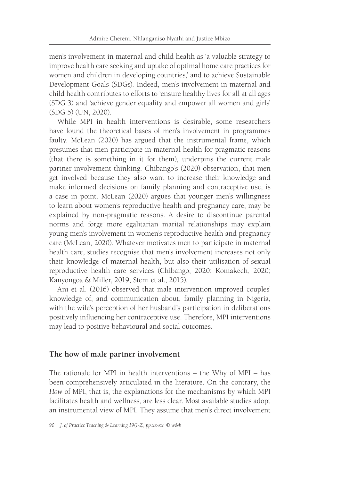men's involvement in maternal and child health as 'a valuable strategy to improve health care seeking and uptake of optimal home care practices for women and children in developing countries,' and to achieve Sustainable Development Goals (SDGs). Indeed, men's involvement in maternal and child health contributes to efforts to 'ensure healthy lives for all at all ages (SDG 3) and 'achieve gender equality and empower all women and girls' (SDG 5) (UN, 2020).

While MPI in health interventions is desirable, some researchers have found the theoretical bases of men's involvement in programmes faulty. McLean (2020) has argued that the instrumental frame, which presumes that men participate in maternal health for pragmatic reasons (that there is something in it for them), underpins the current male partner involvement thinking. Chibango's (2020) observation, that men get involved because they also want to increase their knowledge and make informed decisions on family planning and contraceptive use, is a case in point. McLean (2020) argues that younger men's willingness to learn about women's reproductive health and pregnancy care, may be explained by non-pragmatic reasons. A desire to discontinue parental norms and forge more egalitarian marital relationships may explain young men's involvement in women's reproductive health and pregnancy care (McLean, 2020). Whatever motivates men to participate in maternal health care, studies recognise that men's involvement increases not only their knowledge of maternal health, but also their utilisation of sexual reproductive health care services (Chibango, 2020; Komakech, 2020; Kanyongoa & Miller, 2019; Stern et al., 2015).

Ani et al. (2016) observed that male intervention improved couples' knowledge of, and communication about, family planning in Nigeria, with the wife's perception of her husband's participation in deliberations positively influencing her contraceptive use. Therefore, MPI interventions may lead to positive behavioural and social outcomes.

#### **The how of male partner involvement**

The rationale for MPI in health interventions – the Why of MPI – has been comprehensively articulated in the literature. On the contrary, the *How* of MPI, that is, the explanations for the mechanisms by which MPI facilitates health and wellness, are less clear. Most available studies adopt an instrumental view of MPI. They assume that men's direct involvement

```
90 J. of Practice Teaching & Learning 19(1-2), pp.xx-xx. © w&b
```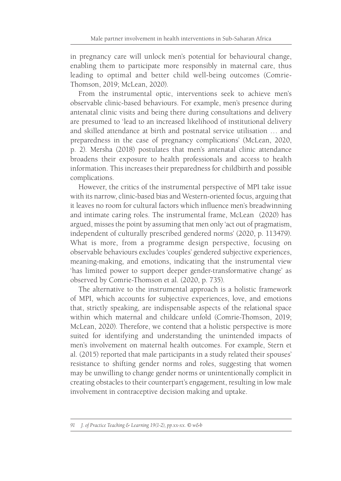in pregnancy care will unlock men's potential for behavioural change, enabling them to participate more responsibly in maternal care, thus leading to optimal and better child well-being outcomes (Comrie-Thomson, 2019; McLean, 2020).

From the instrumental optic, interventions seek to achieve men's observable clinic-based behaviours. For example, men's presence during antenatal clinic visits and being there during consultations and delivery are presumed to 'lead to an increased likelihood of institutional delivery and skilled attendance at birth and postnatal service utilisation … and preparedness in the case of pregnancy complications' (McLean, 2020, p. 2). Mersha (2018) postulates that men's antenatal clinic attendance broadens their exposure to health professionals and access to health information. This increases their preparedness for childbirth and possible complications.

However, the critics of the instrumental perspective of MPI take issue with its narrow, clinic-based bias and Western-oriented focus, arguing that it leaves no room for cultural factors which influence men's breadwinning and intimate caring roles. The instrumental frame, McLean (2020) has argued, misses the point by assuming that men only 'act out of pragmatism, independent of culturally prescribed gendered norms' (2020, p. 113479). What is more, from a programme design perspective, focusing on observable behaviours excludes 'couples' gendered subjective experiences, meaning-making, and emotions, indicating that the instrumental view 'has limited power to support deeper gender-transformative change' as observed by Comrie-Thomson et al. (2020, p. 735).

The alternative to the instrumental approach is a holistic framework of MPI, which accounts for subjective experiences, love, and emotions that, strictly speaking, are indispensable aspects of the relational space within which maternal and childcare unfold (Comrie-Thomson, 2019; McLean, 2020). Therefore, we contend that a holistic perspective is more suited for identifying and understanding the unintended impacts of men's involvement on maternal health outcomes. For example, Stern et al. (2015) reported that male participants in a study related their spouses' resistance to shifting gender norms and roles, suggesting that women may be unwilling to change gender norms or unintentionally complicit in creating obstacles to their counterpart's engagement, resulting in low male involvement in contraceptive decision making and uptake.

*<sup>91</sup> J. of Practice Teaching & Learning 19(1-2), pp.xx-xx. © w&b*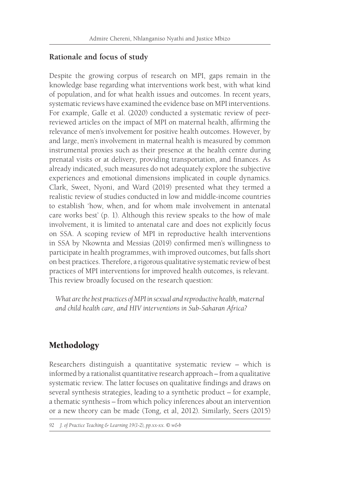## **Rationale and focus of study**

Despite the growing corpus of research on MPI, gaps remain in the knowledge base regarding what interventions work best, with what kind of population, and for what health issues and outcomes. In recent years, systematic reviews have examined the evidence base on MPI interventions. For example, Galle et al. (2020) conducted a systematic review of peerreviewed articles on the impact of MPI on maternal health, affirming the relevance of men's involvement for positive health outcomes. However, by and large, men's involvement in maternal health is measured by common instrumental proxies such as their presence at the health centre during prenatal visits or at delivery, providing transportation, and finances. As already indicated, such measures do not adequately explore the subjective experiences and emotional dimensions implicated in couple dynamics. Clark, Sweet, Nyoni, and Ward (2019) presented what they termed a realistic review of studies conducted in low and middle-income countries to establish 'how, when, and for whom male involvement in antenatal care works best' (p. 1). Although this review speaks to the how of male involvement, it is limited to antenatal care and does not explicitly focus on SSA. A scoping review of MPI in reproductive health interventions in SSA by Nkownta and Messias (2019) confirmed men's willingness to participate in health programmes, with improved outcomes, but falls short on best practices. Therefore, a rigorous qualitative systematic review of best practices of MPI interventions for improved health outcomes, is relevant. This review broadly focused on the research question:

*What are the best practices of MPI in sexual and reproductive health, maternal and child health care, and HIV interventions in Sub-Saharan Africa?*

# Methodology

Researchers distinguish a quantitative systematic review – which is informed by a rationalist quantitative research approach – from a qualitative systematic review. The latter focuses on qualitative findings and draws on several synthesis strategies, leading to a synthetic product – for example, a thematic synthesis – from which policy inferences about an intervention or a new theory can be made (Tong, et al, 2012). Similarly, Seers (2015)

```
92 J. of Practice Teaching & Learning 19(1-2), pp.xx-xx. © w&b
```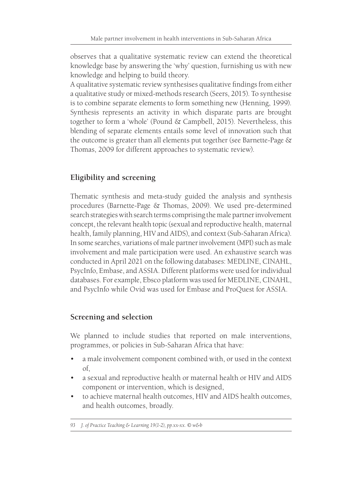observes that a qualitative systematic review can extend the theoretical knowledge base by answering the 'why' question, furnishing us with new knowledge and helping to build theory.

A qualitative systematic review synthesises qualitative findings from either a qualitative study or mixed-methods research (Seers, 2015). To synthesise is to combine separate elements to form something new (Henning, 1999). Synthesis represents an activity in which disparate parts are brought together to form a 'whole' (Pound & Campbell, 2015). Nevertheless, this blending of separate elements entails some level of innovation such that the outcome is greater than all elements put together (see Barnette-Page & Thomas, 2009 for different approaches to systematic review).

# **Eligibility and screening**

Thematic synthesis and meta-study guided the analysis and synthesis procedures (Barnette-Page & Thomas, 2009). We used pre-determined search strategies with search terms comprising the male partner involvement concept, the relevant health topic (sexual and reproductive health, maternal health, family planning, HIV and AIDS), and context (Sub-Saharan Africa). In some searches, variations of male partner involvement (MPI) such as male involvement and male participation were used. An exhaustive search was conducted in April 2021 on the following databases: MEDLINE, CINAHL, PsycInfo, Embase, and ASSIA. Different platforms were used for individual databases. For example, Ebsco platform was used for MEDLINE, CINAHL, and PsycInfo while Ovid was used for Embase and ProQuest for ASSIA.

### **Screening and selection**

We planned to include studies that reported on male interventions, programmes, or policies in Sub-Saharan Africa that have:

- a male involvement component combined with, or used in the context of,
- a sexual and reproductive health or maternal health or HIV and AIDS component or intervention, which is designed,
- to achieve maternal health outcomes, HIV and AIDS health outcomes, and health outcomes, broadly.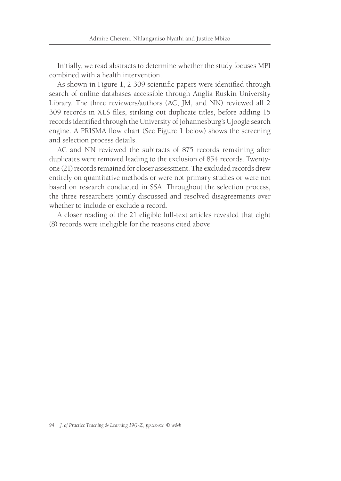Initially, we read abstracts to determine whether the study focuses MPI combined with a health intervention.

As shown in Figure 1, 2 309 scientific papers were identified through search of online databases accessible through Anglia Ruskin University Library. The three reviewers/authors (AC, JM, and NN) reviewed all 2 309 records in XLS files, striking out duplicate titles, before adding 15 records identified through the University of Johannesburg's Ujoogle search engine. A PRISMA flow chart (See Figure 1 below) shows the screening and selection process details.

AC and NN reviewed the subtracts of 875 records remaining after duplicates were removed leading to the exclusion of 854 records. Twentyone (21) records remained for closer assessment. The excluded records drew entirely on quantitative methods or were not primary studies or were not based on research conducted in SSA. Throughout the selection process, the three researchers jointly discussed and resolved disagreements over whether to include or exclude a record.

A closer reading of the 21 eligible full-text articles revealed that eight (8) records were ineligible for the reasons cited above.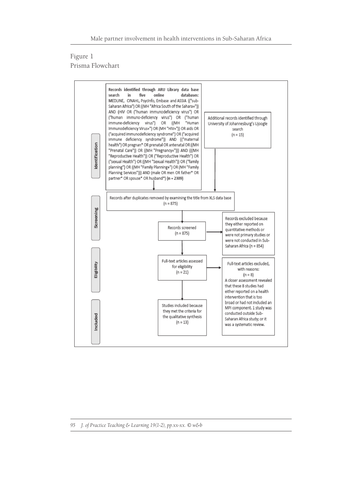#### Figure 1 Prisma Flowchart

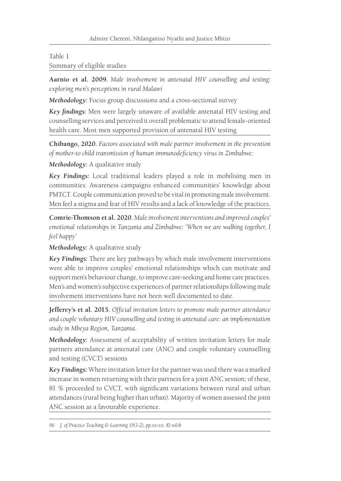#### Table 1

Summary of eligible studies

**Aarnio et al. 2009.** *Male involvement in antenatal HIV counselling and testing: exploring men's perceptions in rural Malawi*

*Methodology:* Focus group discussions and a cross-sectional survey

*Key findings:* Men were largely unaware of available antenatal HIV testing and counselling services and perceived it overall problematic to attend female-oriented health care. Most men supported provision of antenatal HIV testing

**Chibango, 2020.** *Factors associated with male partner involvement in the prevention of mother-to child transmission of human immunodeficiency virus in Zimbabwe*:

*Methodology:* A qualitative study

*Key Findings:* Local traditional leaders played a role in mobilising men in communities. Awareness campaigns enhanced communities' knowledge about PMTCT. Couple communication proved to be vital in promoting male involvement. Men feel a stigma and fear of HIV results and a lack of knowledge of the practices.

**Comrie-Thomson et al. 2020**. *Male involvement interventions and improved couples' emotional relationships in Tanzania and Zimbabwe: 'When we are walking together, I feel happy'*

*Methodology:* A qualitative study

*Key Findings:* There are key pathways by which male involvement interventions were able to improve couples' emotional relationships which can motivate and support men's behaviour change, to improve care-seeking and home care practices. Men's and women's subjective experiences of partner relationships following male involvement interventions have not been well documented to date.

**Jefferey's et al. 2015.** *Official invitation letters to promote male partner attendance and couple voluntary HIV counselling and testing in antenatal care: an implementation study in Mbeya Region, Tanzania*.

*Methodology:* Assessment of acceptability of written invitation letters for male partners attendance at antenatal care (ANC) and couple voluntary counselling and testing (CVCT) sessions

*Key Findings:* Where invitation letter for the partner was used there was a marked increase in women returning with their partners for a joint ANC session; of these, 81 % proceeded to CVCT, with significant variations between rural and urban attendances (rural being higher than urban). Majority of women assessed the joint ANC session as a favourable experience.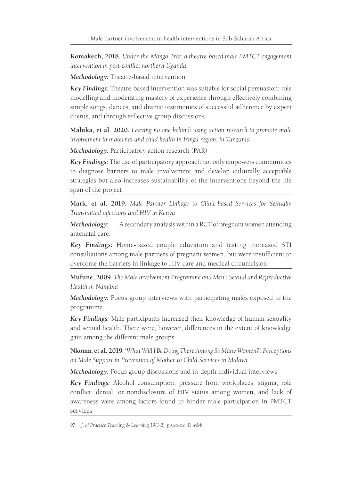**Komakech, 2018.** *Under-the-Mango-Tree: a theatre-based male EMTCT engagement intervention in post-conflict northern Uganda*

*Methodology:* Theatre-based intervention

*Key Findings:* Theatre-based intervention was suitable for social persuasion; role modelling and moderating mastery of experience through effectively combining simple songs, dances, and drama; testimonies of successful adherence by expert clients; and through reflective group discussions

**Maluka, et al. 2020.** *Leaving no one behind: using action research to promote male involvement in maternal and child health in Iringa region, in Tanzania*

*Methodology:* Participatory action research (PAR)

*Key Findings:* The use of participatory approach not only empowers communities to diagnose barriers to male involvement and develop culturally acceptable strategies but also increases sustainability of the interventions beyond the life span of the project

**Mark, et al. 2019.** *Male Partner Linkage to Clinic-based Services for Sexually Transmitted infections and HIV in Kenya*

*Methodology:* A secondary analysis within a RCT of pregnant women attending antenatal care.

*Key Findings:* Home-based couple education and testing increased STI consultations among male partners of pregnant women, but were insufficient to overcome the barriers in linkage to HIV care and medical circumcision

**Mufune, 2009.** *The Male Involvement Programme and Men's Sexual and Reproductive Health in Namibia*

*Methodology:* Focus group interviews with participating males exposed to the programme.

*Key Findings:* Male participants increased their knowledge of human sexuality and sexual health. There were, however, differences in the extent of knowledge gain among the different male groups

**Nkoma, et al. 2019**. *'What Will I Be Doing There Among So Many Women?': Perceptions on Male Support in Prevention of Mother to Child Services in Malawi*

*Methodology:* Focus group discussions and in-depth individual interviews

*Key Findings:* Alcohol consumption, pressure from workplaces, stigma, role conflict, denial, or nondisclosure of HIV status among women, and lack of awareness were among factors found to hinder male participation in PMTCT services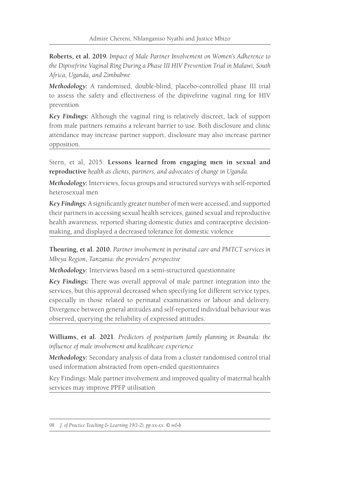**Roberts, et al. 2019.** *Impact of Male Partner Involvement on Women's Adherence to the Dipivefrine Vaginal Ring During a Phase III HIV Prevention Trial in Malawi, South Africa, Uganda, and Zimbabwe*

*Methodology:* A randomised, double-blind, placebo-controlled phase III trial to assess the safety and effectiveness of the dipivefrine vaginal ring for HIV prevention

*Key Findings:* Although the vaginal ring is relatively discreet, lack of support from male partners remains a relevant barrier to use. Both disclosure and clinic attendance may increase partner support, disclosure may also increase partner opposition.

Stern, et al, 2015. **Lessons learned from engaging men in sexual and reproductive** *health as clients, partners, and advocates of change in Uganda.*

*Methodology:* Interviews, focus groups and structured surveys with self-reported heterosexual men

*Key Findings:* A significantly greater number of men were accessed, and supported their partners in accessing sexual health services, gained sexual and reproductive health awareness, reported sharing domestic duties and contraceptive decisionmaking, and displayed a decreased tolerance for domestic violence

**Theuring, et al. 2010.** *Partner involvement in perinatal care and PMTCT services in Mbeya Region, Tanzania: the providers' perspective*

*Methodology:* Interviews based on a semi-structured questionnaire

*Key Findings:* There was overall approval of male partner integration into the services, but this approval decreased when specifying for different service types, especially in those related to perinatal examinations or labour and delivery. Divergence between general attitudes and self-reported individual behaviour was observed, querying the reliability of expressed attitudes.

**Williams, et al. 2021**. *Predictors of postpartum family planning in Rwanda: the influence of male involvement and healthcare experience*

*Methodology:* Secondary analysis of data from a cluster randomised control trial used information abstracted from open-ended questionnaires

Key Findings: Male partner involvement and improved quality of maternal health services may improve PPFP utilisation

*<sup>98</sup> J. of Practice Teaching & Learning 19(1-2), pp.xx-xx. © w&b*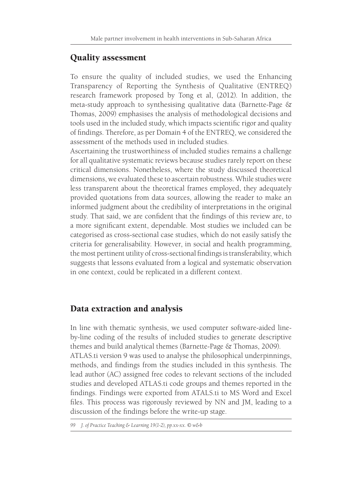# Quality assessment

To ensure the quality of included studies, we used the Enhancing Transparency of Reporting the Synthesis of Qualitative (ENTREQ) research framework proposed by Tong et al, (2012). In addition, the meta-study approach to synthesising qualitative data (Barnette-Page & Thomas, 2009) emphasises the analysis of methodological decisions and tools used in the included study, which impacts scientific rigor and quality of findings. Therefore, as per Domain 4 of the ENTREQ, we considered the assessment of the methods used in included studies.

Ascertaining the trustworthiness of included studies remains a challenge for all qualitative systematic reviews because studies rarely report on these critical dimensions. Nonetheless, where the study discussed theoretical dimensions, we evaluated these to ascertain robustness. While studies were less transparent about the theoretical frames employed, they adequately provided quotations from data sources, allowing the reader to make an informed judgment about the credibility of interpretations in the original study. That said, we are confident that the findings of this review are, to a more significant extent, dependable. Most studies we included can be categorised as cross-sectional case studies, which do not easily satisfy the criteria for generalisability. However, in social and health programming, the most pertinent utility of cross-sectional findings is transferability, which suggests that lessons evaluated from a logical and systematic observation in one context, could be replicated in a different context.

## Data extraction and analysis

In line with thematic synthesis, we used computer software-aided lineby-line coding of the results of included studies to generate descriptive themes and build analytical themes (Barnette-Page & Thomas, 2009). ATLAS.ti version 9 was used to analyse the philosophical underpinnings, methods, and findings from the studies included in this synthesis. The lead author (AC) assigned free codes to relevant sections of the included studies and developed ATLAS.ti code groups and themes reported in the findings. Findings were exported from ATALS.ti to MS Word and Excel files. This process was rigorously reviewed by NN and JM, leading to a discussion of the findings before the write-up stage.

*<sup>99</sup> J. of Practice Teaching & Learning 19(1-2), pp.xx-xx. © w&b*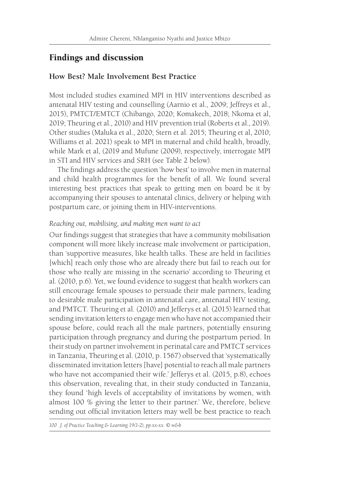## Findings and discussion

#### **How Best? Male Involvement Best Practice**

Most included studies examined MPI in HIV interventions described as antenatal HIV testing and counselling (Aarnio et al., 2009; Jeffreys et al., 2015), PMTCT/EMTCT (Chibango, 2020; Komakech, 2018; Nkoma et al, 2019; Theuring et al., 2010) and HIV prevention trial (Roberts et al., 2019). Other studies (Maluka et al., 2020; Stern et al. 2015; Theuring et al, 2010; Williams et al. 2021) speak to MPI in maternal and child health, broadly, while Mark et al, (2019 and Mufune (2009), respectively, interrogate MPI in STI and HIV services and SRH (see Table 2 below).

The findings address the question 'how best' to involve men in maternal and child health programmes for the benefit of all. We found several interesting best practices that speak to getting men on board be it by accompanying their spouses to antenatal clinics, delivery or helping with postpartum care, or joining them in HIV-interventions.

#### *Reaching out, mobilising, and making men want to act*

Our findings suggest that strategies that have a community mobilisation component will more likely increase male involvement or participation, than 'supportive measures, like health talks. These are held in facilities [which] reach only those who are already there but fail to reach out for those who really are missing in the scenario' according to Theuring et al. (2010, p.6). Yet, we found evidence to suggest that health workers can still encourage female spouses to persuade their male partners, leading to desirable male participation in antenatal care, antenatal HIV testing, and PMTCT. Theuring et al. (2010) and Jefferys et al. (2015) learned that sending invitation letters to engage men who have not accompanied their spouse before, could reach all the male partners, potentially ensuring participation through pregnancy and during the postpartum period. In their study on partner involvement in perinatal care and PMTCT services in Tanzania, Theuring et al. (2010, p. 1567) observed that 'systematically disseminated invitation letters [have] potential to reach all male partners who have not accompanied their wife.' Jefferys et al. (2015, p.8), echoes this observation, revealing that, in their study conducted in Tanzania, they found 'high levels of acceptability of invitations by women, with almost 100 % giving the letter to their partner.' We, therefore, believe sending out official invitation letters may well be best practice to reach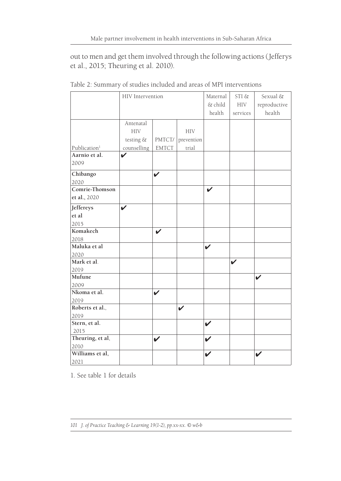out to men and get them involved through the following actions (Jefferys et al., 2015; Theuring et al. 2010).

|                          | HIV Intervention |              |            | Maternal<br>& child<br>health | STI &<br><b>HIV</b><br>services | Sexual &<br>reproductive<br>health |
|--------------------------|------------------|--------------|------------|-------------------------------|---------------------------------|------------------------------------|
|                          |                  |              |            |                               |                                 |                                    |
|                          | Antenatal        |              |            |                               |                                 |                                    |
|                          | <b>HIV</b>       |              | <b>HIV</b> |                               |                                 |                                    |
|                          | testing &        | PMTCT/       | prevention |                               |                                 |                                    |
| Publication <sup>1</sup> | counselling      | <b>EMTCT</b> | trial      |                               |                                 |                                    |
| Aarnio et al.            | ✓                |              |            |                               |                                 |                                    |
| 2009                     |                  |              |            |                               |                                 |                                    |
| Chibango                 |                  | V            |            |                               |                                 |                                    |
| 2020                     |                  |              |            |                               |                                 |                                    |
| Comrie-Thomson           |                  |              |            | $\boldsymbol{\nu}$            |                                 |                                    |
| et al., 2020             |                  |              |            |                               |                                 |                                    |
| Jeffereys                | V                |              |            |                               |                                 |                                    |
| et al                    |                  |              |            |                               |                                 |                                    |
| 2015                     |                  |              |            |                               |                                 |                                    |
| Komakech                 |                  | V            |            |                               |                                 |                                    |
| 2018                     |                  |              |            |                               |                                 |                                    |
| Maluka et al             |                  |              |            | V                             |                                 |                                    |
| 2020                     |                  |              |            |                               |                                 |                                    |
| Mark et al.              |                  |              |            |                               | V                               |                                    |
| 2019                     |                  |              |            |                               |                                 |                                    |
| Mufune                   |                  |              |            |                               |                                 | V                                  |
| 2009                     |                  |              |            |                               |                                 |                                    |
| Nkoma et al.             |                  | V            |            |                               |                                 |                                    |
| 2019                     |                  |              |            |                               |                                 |                                    |
| Roberts et al.,          |                  |              | V          |                               |                                 |                                    |
| 2019                     |                  |              |            |                               |                                 |                                    |
| Stern, et al.            |                  |              |            | V                             |                                 |                                    |
| 2015                     |                  |              |            |                               |                                 |                                    |
| Theuring, et al,         |                  | V            |            | V                             |                                 |                                    |
| 2010                     |                  |              |            |                               |                                 |                                    |
| Williams et al,          |                  |              |            | V                             |                                 | V                                  |
| 2021                     |                  |              |            |                               |                                 |                                    |

Table 2: Summary of studies included and areas of MPI interventions

1. See table 1 for details

*<sup>101</sup> J. of Practice Teaching & Learning 19(1-2), pp.xx-xx. © w&b*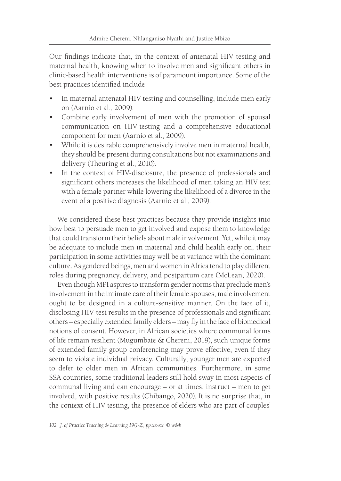Our findings indicate that, in the context of antenatal HIV testing and maternal health, knowing when to involve men and significant others in clinic-based health interventions is of paramount importance. Some of the best practices identified include

- In maternal antenatal HIV testing and counselling, include men early on (Aarnio et al., 2009).
- Combine early involvement of men with the promotion of spousal communication on HIV-testing and a comprehensive educational component for men (Aarnio et al., 2009).
- While it is desirable comprehensively involve men in maternal health, they should be present during consultations but not examinations and delivery (Theuring et al., 2010).
- In the context of HIV-disclosure, the presence of professionals and significant others increases the likelihood of men taking an HIV test with a female partner while lowering the likelihood of a divorce in the event of a positive diagnosis (Aarnio et al., 2009).

We considered these best practices because they provide insights into how best to persuade men to get involved and expose them to knowledge that could transform their beliefs about male involvement. Yet, while it may be adequate to include men in maternal and child health early on, their participation in some activities may well be at variance with the dominant culture. As gendered beings, men and women in Africa tend to play different roles during pregnancy, delivery, and postpartum care (McLean, 2020).

Even though MPI aspires to transform gender norms that preclude men's involvement in the intimate care of their female spouses, male involvement ought to be designed in a culture-sensitive manner. On the face of it, disclosing HIV-test results in the presence of professionals and significant others – especially extended family elders – may fly in the face of biomedical notions of consent. However, in African societies where communal forms of life remain resilient (Mugumbate & Chereni, 2019), such unique forms of extended family group conferencing may prove effective, even if they seem to violate individual privacy. Culturally, younger men are expected to defer to older men in African communities. Furthermore, in some SSA countries, some traditional leaders still hold sway in most aspects of communal living and can encourage – or at times, instruct – men to get involved, with positive results (Chibango, 2020). It is no surprise that, in the context of HIV testing, the presence of elders who are part of couples'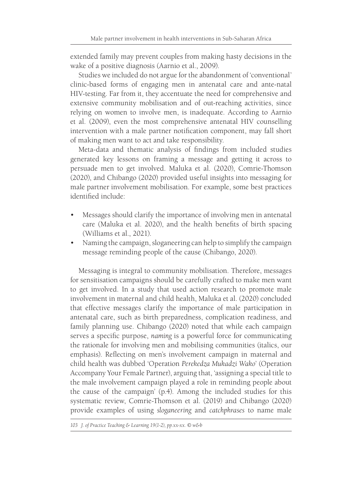extended family may prevent couples from making hasty decisions in the wake of a positive diagnosis (Aarnio et al., 2009).

Studies we included do not argue for the abandonment of 'conventional' clinic-based forms of engaging men in antenatal care and ante-natal HIV-testing. Far from it, they accentuate the need for comprehensive and extensive community mobilisation and of out-reaching activities, since relying on women to involve men, is inadequate. According to Aarnio et al. (2009), even the most comprehensive antenatal HIV counselling intervention with a male partner notification component, may fall short of making men want to act and take responsibility.

Meta-data and thematic analysis of findings from included studies generated key lessons on framing a message and getting it across to persuade men to get involved. Maluka et al. (2020), Comrie-Thomson (2020), and Chibango (2020) provided useful insights into messaging for male partner involvement mobilisation. For example, some best practices identified include:

- Messages should clarify the importance of involving men in antenatal care (Maluka et al. 2020), and the health benefits of birth spacing (Williams et al., 2021).
- Naming the campaign, sloganeering can help to simplify the campaign message reminding people of the cause (Chibango, 2020).

Messaging is integral to community mobilisation. Therefore, messages for sensitisation campaigns should be carefully crafted to make men want to get involved. In a study that used action research to promote male involvement in maternal and child health, Maluka et al. (2020) concluded that effective messages clarify the importance of male participation in antenatal care, such as birth preparedness, complication readiness, and family planning use. Chibango (2020) noted that while each campaign serves a specific purpose, *naming* is a powerful force for communicating the rationale for involving men and mobilising communities (italics, our emphasis). Reflecting on men's involvement campaign in maternal and child health was dubbed 'Operation *Perekedza Mukadzi Wako*' (Operation Accompany Your Female Partner), arguing that, 'assigning a special title to the male involvement campaign played a role in reminding people about the cause of the campaign' (p.4). Among the included studies for this systematic review, Comrie-Thomson et al. (2019) and Chibango (2020) provide examples of using *sloganeering* and *catchphrases* to name male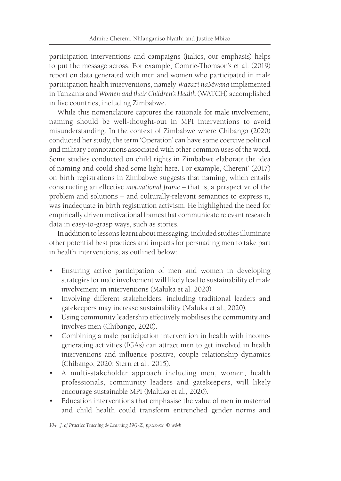participation interventions and campaigns (italics, our emphasis) helps to put the message across. For example, Comrie-Thomson's et al. (2019) report on data generated with men and women who participated in male participation health interventions, namely *Wazazi naMwana* implemented in Tanzania and *Women and their Children's Health* (WATCH) accomplished in five countries, including Zimbabwe.

While this nomenclature captures the rationale for male involvement, naming should be well-thought-out in MPI interventions to avoid misunderstanding. In the context of Zimbabwe where Chibango (2020) conducted her study, the term 'Operation' can have some coercive political and military connotations associated with other common uses of the word. Some studies conducted on child rights in Zimbabwe elaborate the idea of naming and could shed some light here. For example, Chereni' (2017) on birth registrations in Zimbabwe suggests that naming, which entails constructing an effective *motivational frame –* that is, a perspective of the problem and solutions – and culturally-relevant semantics to express it, was inadequate in birth registration activism. He highlighted the need for empirically driven motivational frames that communicate relevant research data in easy-to-grasp ways, such as stories.

In addition to lessons learnt about messaging, included studies illuminate other potential best practices and impacts for persuading men to take part in health interventions, as outlined below:

- Ensuring active participation of men and women in developing strategies for male involvement will likely lead to sustainability of male involvement in interventions (Maluka et al. 2020).
- Involving different stakeholders, including traditional leaders and gatekeepers may increase sustainability (Maluka et al., 2020).
- Using community leadership effectively mobilises the community and involves men (Chibango, 2020).
- Combining a male participation intervention in health with incomegenerating activities (IGAs) can attract men to get involved in health interventions and influence positive, couple relationship dynamics (Chibango, 2020; Stern et al., 2015).
- A multi-stakeholder approach including men, women, health professionals, community leaders and gatekeepers, will likely encourage sustainable MPI (Maluka et al., 2020).
- Education interventions that emphasise the value of men in maternal and child health could transform entrenched gender norms and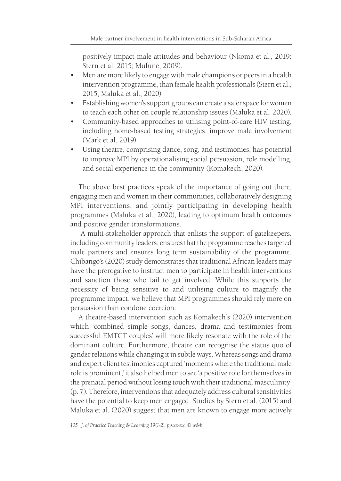positively impact male attitudes and behaviour (Nkoma et al., 2019; Stern et al. 2015; Mufune, 2009).

- Men are more likely to engage with male champions or peers in a health intervention programme, than female health professionals (Stern et al., 2015; Maluka et al., 2020).
- Establishing women's support groups can create a safer space for women to teach each other on couple relationship issues (Maluka et al. 2020).
- Community-based approaches to utilising point-of-care HIV testing, including home-based testing strategies, improve male involvement (Mark et al. 2019).
- Using theatre, comprising dance, song, and testimonies, has potential to improve MPI by operationalising social persuasion, role modelling, and social experience in the community (Komakech, 2020).

The above best practices speak of the importance of going out there, engaging men and women in their communities, collaboratively designing MPI interventions, and jointly participating in developing health programmes (Maluka et al., 2020), leading to optimum health outcomes and positive gender transformations.

 A multi-stakeholder approach that enlists the support of gatekeepers, including community leaders, ensures that the programme reaches targeted male partners and ensures long term sustainability of the programme. Chibango's (2020) study demonstrates that traditional African leaders may have the prerogative to instruct men to participate in health interventions and sanction those who fail to get involved. While this supports the necessity of being sensitive to and utilising culture to magnify the programme impact, we believe that MPI programmes should rely more on persuasion than condone coercion.

A theatre-based intervention such as Komakech's (2020) intervention which 'combined simple songs, dances, drama and testimonies from successful EMTCT couples' will more likely resonate with the role of the dominant culture. Furthermore, theatre can recognise the status quo of gender relations while changing it in subtle ways. Whereas songs and drama and expert client testimonies captured 'moments where the traditional male role is prominent,' it also helped men to see 'a positive role for themselves in the prenatal period without losing touch with their traditional masculinity' (p. 7). Therefore, interventions that adequately address cultural sensitivities have the potential to keep men engaged. Studies by Stern et al. (2015) and Maluka et al. (2020) suggest that men are known to engage more actively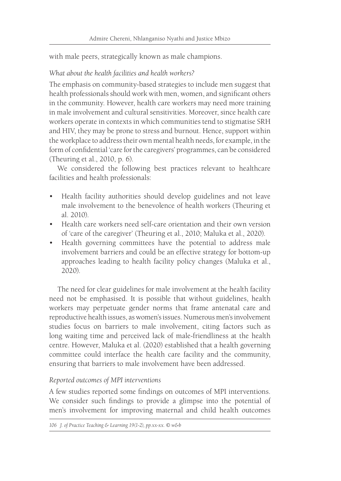with male peers, strategically known as male champions.

#### *What about the health facilities and health workers?*

The emphasis on community-based strategies to include men suggest that health professionals should work with men, women, and significant others in the community. However, health care workers may need more training in male involvement and cultural sensitivities. Moreover, since health care workers operate in contexts in which communities tend to stigmatise SRH and HIV, they may be prone to stress and burnout. Hence, support within the workplace to address their own mental health needs, for example, in the form of confidential 'care for the caregivers' programmes, can be considered (Theuring et al., 2010, p. 6).

We considered the following best practices relevant to healthcare facilities and health professionals:

- Health facility authorities should develop guidelines and not leave male involvement to the benevolence of health workers (Theuring et al. 2010).
- Health care workers need self-care orientation and their own version of 'care of the caregiver' (Theuring et al., 2010; Maluka et al., 2020).
- Health governing committees have the potential to address male involvement barriers and could be an effective strategy for bottom-up approaches leading to health facility policy changes (Maluka et al., 2020).

The need for clear guidelines for male involvement at the health facility need not be emphasised. It is possible that without guidelines, health workers may perpetuate gender norms that frame antenatal care and reproductive health issues, as women's issues. Numerous men's involvement studies focus on barriers to male involvement, citing factors such as long waiting time and perceived lack of male-friendliness at the health centre. However, Maluka et al. (2020) established that a health governing committee could interface the health care facility and the community, ensuring that barriers to male involvement have been addressed.

#### *Reported outcomes of MPI interventions*

A few studies reported some findings on outcomes of MPI interventions. We consider such findings to provide a glimpse into the potential of men's involvement for improving maternal and child health outcomes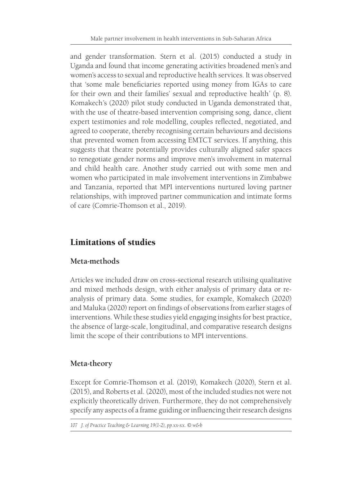and gender transformation. Stern et al. (2015) conducted a study in Uganda and found that income generating activities broadened men's and women's access to sexual and reproductive health services. It was observed that 'some male beneficiaries reported using money from IGAs to care for their own and their families' sexual and reproductive health' (p. 8). Komakech's (2020) pilot study conducted in Uganda demonstrated that, with the use of theatre-based intervention comprising song, dance, client expert testimonies and role modelling, couples reflected, negotiated, and agreed to cooperate, thereby recognising certain behaviours and decisions that prevented women from accessing EMTCT services. If anything, this suggests that theatre potentially provides culturally aligned safer spaces to renegotiate gender norms and improve men's involvement in maternal and child health care. Another study carried out with some men and women who participated in male involvement interventions in Zimbabwe and Tanzania, reported that MPI interventions nurtured loving partner relationships, with improved partner communication and intimate forms of care (Comrie-Thomson et al., 2019).

# Limitations of studies

## **Meta-methods**

Articles we included draw on cross-sectional research utilising qualitative and mixed methods design, with either analysis of primary data or reanalysis of primary data. Some studies, for example, Komakech (2020) and Maluka (2020) report on findings of observations from earlier stages of interventions. While these studies yield engaging insights for best practice, the absence of large-scale, longitudinal, and comparative research designs limit the scope of their contributions to MPI interventions.

## **Meta-theory**

Except for Comrie-Thomson et al. (2019), Komakech (2020), Stern et al. (2015), and Roberts et al. (2020), most of the included studies not were not explicitly theoretically driven. Furthermore, they do not comprehensively specify any aspects of a frame guiding or influencing their research designs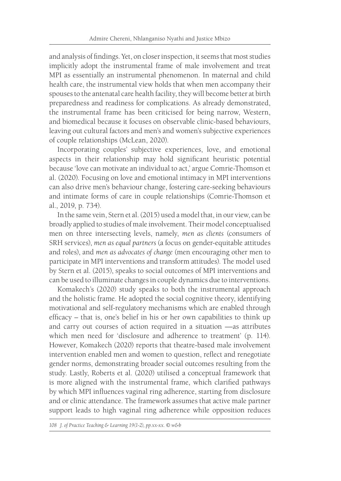and analysis of findings. Yet, on closer inspection, it seems that most studies implicitly adopt the instrumental frame of male involvement and treat MPI as essentially an instrumental phenomenon. In maternal and child health care, the instrumental view holds that when men accompany their spouses to the antenatal care health facility, they will become better at birth preparedness and readiness for complications. As already demonstrated, the instrumental frame has been criticised for being narrow, Western, and biomedical because it focuses on observable clinic-based behaviours, leaving out cultural factors and men's and women's subjective experiences of couple relationships (McLean, 2020).

Incorporating couples' subjective experiences, love, and emotional aspects in their relationship may hold significant heuristic potential because 'love can motivate an individual to act,' argue Comrie-Thomson et al. (2020). Focusing on love and emotional intimacy in MPI interventions can also drive men's behaviour change, fostering care-seeking behaviours and intimate forms of care in couple relationships (Comrie-Thomson et al., 2019, p. 734).

In the same vein, Stern et al. (2015) used a model that, in our view, can be broadly applied to studies of male involvement. Their model conceptualised men on three intersecting levels, namely, *men as clients* (consumers of SRH services), *men as equal partners* (a focus on gender-equitable attitudes and roles), and *men as advocates of change* (men encouraging other men to participate in MPI interventions and transform attitudes). The model used by Stern et al. (2015), speaks to social outcomes of MPI interventions and can be used to illuminate changes in couple dynamics due to interventions.

Komakech's (2020) study speaks to both the instrumental approach and the holistic frame. He adopted the social cognitive theory, identifying motivational and self-regulatory mechanisms which are enabled through efficacy – that is, one's belief in his or her own capabilities to think up and carry out courses of action required in a situation —as attributes which men need for 'disclosure and adherence to treatment' (p. 114). However, Komakech (2020) reports that theatre-based male involvement intervention enabled men and women to question, reflect and renegotiate gender norms, demonstrating broader social outcomes resulting from the study. Lastly, Roberts et al. (2020) utilised a conceptual framework that is more aligned with the instrumental frame, which clarified pathways by which MPI influences vaginal ring adherence, starting from disclosure and or clinic attendance. The framework assumes that active male partner support leads to high vaginal ring adherence while opposition reduces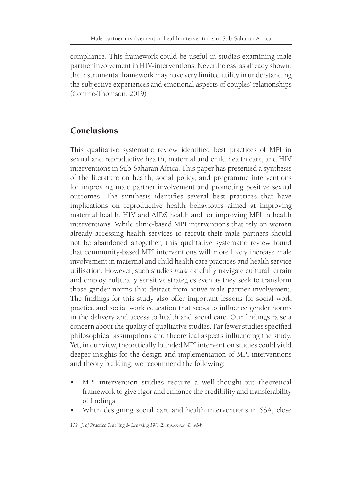compliance. This framework could be useful in studies examining male partner involvement in HIV-interventions. Nevertheless, as already shown, the instrumental framework may have very limited utility in understanding the subjective experiences and emotional aspects of couples' relationships (Comrie-Thomson, 2019).

# **Conclusions**

This qualitative systematic review identified best practices of MPI in sexual and reproductive health, maternal and child health care, and HIV interventions in Sub-Saharan Africa. This paper has presented a synthesis of the literature on health, social policy, and programme interventions for improving male partner involvement and promoting positive sexual outcomes. The synthesis identifies several best practices that have implications on reproductive health behaviours aimed at improving maternal health, HIV and AIDS health and for improving MPI in health interventions. While clinic-based MPI interventions that rely on women already accessing health services to recruit their male partners should not be abandoned altogether, this qualitative systematic review found that community-based MPI interventions will more likely increase male involvement in maternal and child health care practices and health service utilisation. However, such studies *must* carefully navigate cultural terrain and employ culturally sensitive strategies even as they seek to transform those gender norms that detract from active male partner involvement. The findings for this study also offer important lessons for social work practice and social work education that seeks to influence gender norms in the delivery and access to health and social care. Our findings raise a concern about the quality of qualitative studies. Far fewer studies specified philosophical assumptions and theoretical aspects influencing the study. Yet, in our view, theoretically founded MPI intervention studies could yield deeper insights for the design and implementation of MPI interventions and theory building, we recommend the following:

- MPI intervention studies require a well-thought-out theoretical framework to give rigor and enhance the credibility and transferability of findings.
- When designing social care and health interventions in SSA, close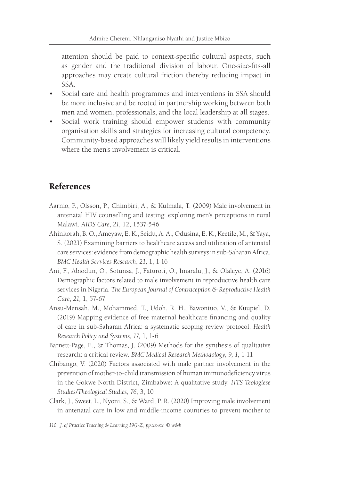attention should be paid to context-specific cultural aspects, such as gender and the traditional division of labour. One-size-fits-all approaches may create cultural friction thereby reducing impact in SSA.

- Social care and health programmes and interventions in SSA should be more inclusive and be rooted in partnership working between both men and women, professionals, and the local leadership at all stages.
- Social work training should empower students with community organisation skills and strategies for increasing cultural competency. Community-based approaches will likely yield results in interventions where the men's involvement is critical.

# References

- Aarnio, P., Olsson, P., Chimbiri, A., & Kulmala, T. (2009) Male involvement in antenatal HIV counselling and testing: exploring men's perceptions in rural Malawi. *AIDS Care*, *21,* 12, 1537-546
- Ahinkorah, B. O., Ameyaw, E. K., Seidu, A. A., Odusina, E. K., Keetile, M., & Yaya, S. (2021) Examining barriers to healthcare access and utilization of antenatal care services: evidence from demographic health surveys in sub-Saharan Africa. *BMC Health Services Research*, *21,* 1, 1-16
- Ani, F., Abiodun, O., Sotunsa, J., Faturoti, O., Imaralu, J., & Olaleye, A. (2016) Demographic factors related to male involvement in reproductive health care services in Nigeria. *The European Journal of Contraception & Reproductive Health Care*, *21,* 1, 57-67
- Ansu-Mensah, M., Mohammed, T., Udoh, R. H., Bawontuo, V., & Kuupiel, D. (2019) Mapping evidence of free maternal healthcare financing and quality of care in sub-Saharan Africa: a systematic scoping review protocol. *Health Research Policy and Systems, 17,* 1, 1-6
- Barnett-Page, E., & Thomas, J. (2009) Methods for the synthesis of qualitative research: a critical review. *BMC Medical Research Methodology*, *9, 1*, 1-11
- Chibango, V. (2020) Factors associated with male partner involvement in the prevention of mother-to-child transmission of human immunodeficiency virus in the Gokwe North District, Zimbabwe: A qualitative study. *HTS Teologiese Studies/Theological Studies*, *76,* 3, 10
- Clark, J., Sweet, L., Nyoni, S., & Ward, P. R. (2020) Improving male involvement in antenatal care in low and middle-income countries to prevent mother to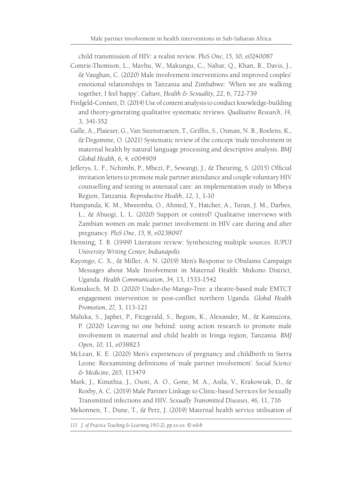child transmission of HIV: a realist review. *PloS One*, *15,* 10, e0240087

- Comrie-Thomson, L., Mavhu, W., Makungu, C., Nahar, Q., Khan, R., Davis, J., & Vaughan, C. (2020) Male involvement interventions and improved couples' emotional relationships in Tanzania and Zimbabwe: 'When we are walking together, I feel happy'. *Culture, Health & Sexuality*, *22*, 6, 722-739
- Finfgeld-Connett, D. (2014) Use of content analysis to conduct knowledge-building and theory-generating qualitative systematic reviews. *Qualitative Research*, *14,*  3, 341-352
- Galle, A., Plaieser, G., Van Steenstraeten, T., Griffin, S., Osman, N. B., Roelens, K., & Degomme, O. (2021) Systematic review of the concept 'male involvement in maternal health by natural language processing and descriptive analysis. *BMJ Global Health*, *6,* 4, e004909
- Jefferys, L. F., Nchimbi, P., Mbezi, P., Sewangi, J., & Theuring, S. (2015) Official invitation letters to promote male partner attendance and couple voluntary HIV counselling and testing in antenatal care: an implementation study in Mbeya Region, Tanzania. *Reproductive Health*, *12,* 1, 1-10
- Hampanda, K. M., Mweemba, O., Ahmed, Y., Hatcher, A., Turan, J. M., Darbes, L., & Abuogi, L. L. (2020) Support or control? Qualitative interviews with Zambian women on male partner involvement in HIV care during and after pregnancy. *PloS One*, *15,* 8, e0238097
- Henning, T. B. (1999) Literature review: Synthesizing multiple sources. *IUPUI University Writing Center, Indianápolis*
- Kayongo, C. X., & Miller, A. N. (2019) Men's Response to Obulamu Campaign Messages about Male Involvement in Maternal Health: Mukono District, Uganda. *Health Communication*, *34,* 13, 1533-1542
- Komakech, M. D. (2020) Under-the-Mango-Tree: a theatre-based male EMTCT engagement intervention in post-conflict northern Uganda. *Global Health Promotion*, *27,* 3, 113-121
- Maluka, S., Japhet, P., Fitzgerald, S., Begum, K., Alexander, M., & Kamuzora, P. (2020) Leaving no one behind: using action research to promote male involvement in maternal and child health in Iringa region, Tanzania. *BMJ Open*, *10,* 11, e038823
- McLean, K. E. (2020) Men's experiences of pregnancy and childbirth in Sierra Leone: Reexamining definitions of 'male partner involvement'. *Social Science & Medicine*, *265*, 113479
- Mark, J., Kinuthia, J., Osoti, A. O., Gone, M. A., Asila, V., Krakowiak, D., & Roxby, A. C. (2019) Male Partner Linkage to Clinic-based Services for Sexually Transmitted infections and HIV. *Sexually Transmitted Diseases*, *46,* 11, 716

Mekonnen, T., Dune, T., & Perz, J. (2019) Maternal health service utilisation of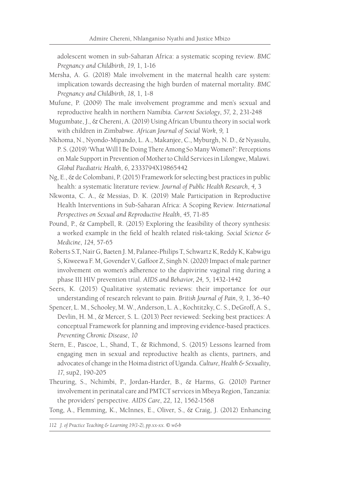adolescent women in sub-Saharan Africa: a systematic scoping review. *BMC Pregnancy and Childbirth*, *19*, 1, 1-16

- Mersha, A. G. (2018) Male involvement in the maternal health care system: implication towards decreasing the high burden of maternal mortality. *BMC Pregnancy and Childbirth*, *18*, 1, 1-8
- Mufune, P. (2009) The male involvement programme and men's sexual and reproductive health in northern Namibia. *Current Sociology*, *57,* 2, 231-248
- Mugumbate, J., & Chereni, A. (2019) Using African Ubuntu theory in social work with children in Zimbabwe. *African Journal of Social Work*, *9,* 1
- Nkhoma, N., Nyondo-Mipando, L. A., Makanjee, C., Myburgh, N. D., & Nyasulu, P. S. (2019) 'What Will I Be Doing There Among So Many Women?': Perceptions on Male Support in Prevention of Mother to Child Services in Lilongwe, Malawi. *Global Paediatric Health*, *6*, 2333794X19865442
- Ng, E., & de Colombani, P. (2015) Framework for selecting best practices in public health: a systematic literature review. *Journal of Public Health Research*, *4,* 3
- Nkwonta, C. A., & Messias, D. K. (2019) Male Participation in Reproductive Health Interventions in Sub-Saharan Africa: A Scoping Review. *International Perspectives on Sexual and Reproductive Health*, *45*, 71-85
- Pound, P., & Campbell, R. (2015) Exploring the feasibility of theory synthesis: a worked example in the field of health related risk-taking. *Social Science & Medicine*, *124*, 57-65
- Roberts S.T, Nair G, Baeten J. M, Palanee-Philips T, Schwartz K, Reddy K, Kabwigu S, Kiweewa F. M, Govender V, Gaffoor Z, Singh N. (2020) Impact of male partner involvement on women's adherence to the dapivirine vaginal ring during a phase III HIV prevention trial. *AIDS and Behavior*, *24,* 5, 1432-1442
- Seers, K. (2015) Qualitative systematic reviews: their importance for our understanding of research relevant to pain. *British Journal of Pain*, *9,* 1, 36-40
- Spencer, L. M., Schooley, M. W., Anderson, L. A., Kochtitzky, C. S., DeGroff, A. S., Devlin, H. M., & Mercer, S. L. (2013) Peer reviewed: Seeking best practices: A conceptual Framework for planning and improving evidence-based practices. *Preventing Chronic Disease*, *10*
- Stern, E., Pascoe, L., Shand, T., & Richmond, S. (2015) Lessons learned from engaging men in sexual and reproductive health as clients, partners, and advocates of change in the Hoima district of Uganda. *Culture, Health & Sexuality*, *17*, sup2, 190-205
- Theuring, S., Nchimbi, P., Jordan-Harder, B., & Harms, G. (2010) Partner involvement in perinatal care and PMTCT services in Mbeya Region, Tanzania: the providers' perspective. *AIDS Care*, *22,* 12, 1562-1568

Tong, A., Flemming, K., McInnes, E., Oliver, S., & Craig, J. (2012) Enhancing